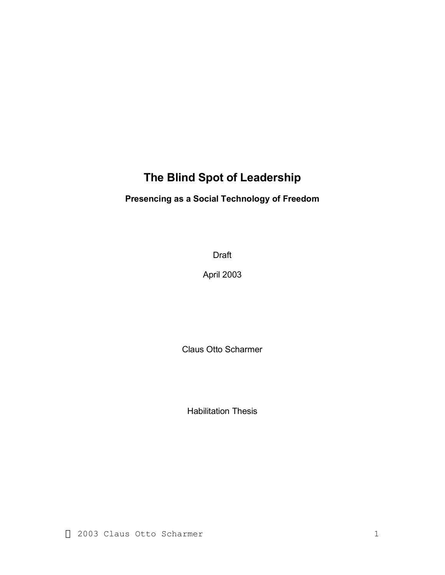# **The Blind Spot of Leadership**

# **Presencing as a Social Technology of Freedom**

Draft

April 2003

Claus Otto Scharmer

Habilitation Thesis

© 2003 Claus Otto Scharmer 1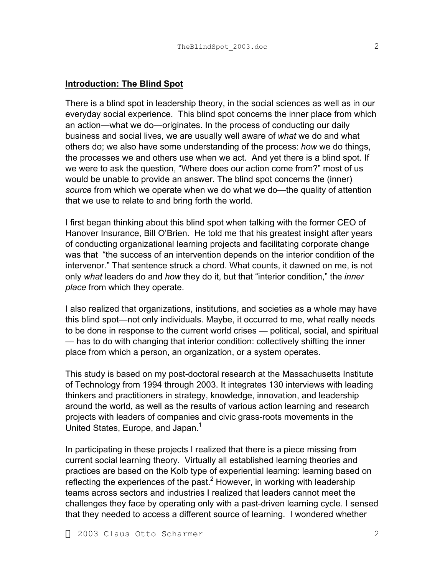#### **Introduction: The Blind Spot**

There is a blind spot in leadership theory, in the social sciences as well as in our everyday social experience. This blind spot concerns the inner place from which an action—what we do—originates. In the process of conducting our daily business and social lives, we are usually well aware of *what* we do and what others do; we also have some understanding of the process: *how* we do things, the processes we and others use when we act. And yet there is a blind spot. If we were to ask the question, "Where does our action come from?" most of us would be unable to provide an answer. The blind spot concerns the (inner) *source* from which we operate when we do what we do—the quality of attention that we use to relate to and bring forth the world.

I first began thinking about this blind spot when talking with the former CEO of Hanover Insurance, Bill O'Brien. He told me that his greatest insight after years of conducting organizational learning projects and facilitating corporate change was that "the success of an intervention depends on the interior condition of the intervenor." That sentence struck a chord. What counts, it dawned on me, is not only *what* leaders do and *how* they do it, but that "interior condition," the *inner place* from which they operate.

I also realized that organizations, institutions, and societies as a whole may have this blind spot—not only individuals. Maybe, it occurred to me, what really needs to be done in response to the current world crises — political, social, and spiritual — has to do with changing that interior condition: collectively shifting the inner place from which a person, an organization, or a system operates.

This study is based on my post-doctoral research at the Massachusetts Institute of Technology from 1994 through 2003. It integrates 130 interviews with leading thinkers and practitioners in strategy, knowledge, innovation, and leadership around the world, as well as the results of various action learning and research projects with leaders of companies and civic grass-roots movements in the United States, Europe, and Japan.<sup>1</sup>

In participating in these projects I realized that there is a piece missing from current social learning theory. Virtually all established learning theories and practices are based on the Kolb type of experiential learning: learning based on reflecting the experiences of the past.<sup>2</sup> However, in working with leadership teams across sectors and industries I realized that leaders cannot meet the challenges they face by operating only with a past-driven learning cycle. I sensed that they needed to access a different source of learning. I wondered whether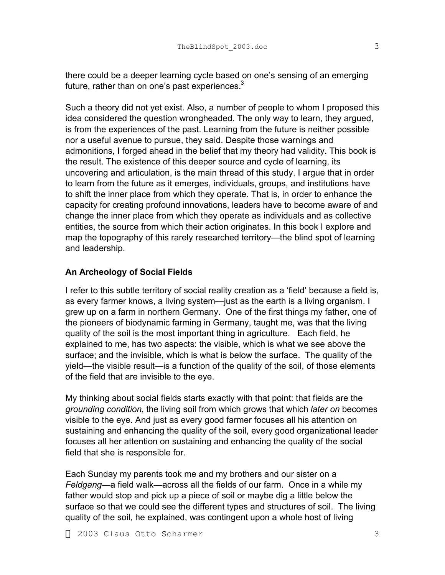there could be a deeper learning cycle based on one's sensing of an emerging future, rather than on one's past experiences. $3$ 

Such a theory did not yet exist. Also, a number of people to whom I proposed this idea considered the question wrongheaded. The only way to learn, they argued, is from the experiences of the past. Learning from the future is neither possible nor a useful avenue to pursue, they said. Despite those warnings and admonitions, I forged ahead in the belief that my theory had validity. This book is the result. The existence of this deeper source and cycle of learning, its uncovering and articulation, is the main thread of this study. I argue that in order to learn from the future as it emerges, individuals, groups, and institutions have to shift the inner place from which they operate. That is, in order to enhance the capacity for creating profound innovations, leaders have to become aware of and change the inner place from which they operate as individuals and as collective entities, the source from which their action originates. In this book I explore and map the topography of this rarely researched territory—the blind spot of learning and leadership.

# **An Archeology of Social Fields**

I refer to this subtle territory of social reality creation as a 'field' because a field is, as every farmer knows, a living system—just as the earth is a living organism. I grew up on a farm in northern Germany. One of the first things my father, one of the pioneers of biodynamic farming in Germany, taught me, was that the living quality of the soil is the most important thing in agriculture. Each field, he explained to me, has two aspects: the visible, which is what we see above the surface; and the invisible, which is what is below the surface. The quality of the yield—the visible result—is a function of the quality of the soil, of those elements of the field that are invisible to the eye.

My thinking about social fields starts exactly with that point: that fields are the *grounding condition*, the living soil from which grows that which *later on* becomes visible to the eye. And just as every good farmer focuses all his attention on sustaining and enhancing the quality of the soil, every good organizational leader focuses all her attention on sustaining and enhancing the quality of the social field that she is responsible for.

Each Sunday my parents took me and my brothers and our sister on a *Feldgang*—a field walk—across all the fields of our farm. Once in a while my father would stop and pick up a piece of soil or maybe dig a little below the surface so that we could see the different types and structures of soil. The living quality of the soil, he explained, was contingent upon a whole host of living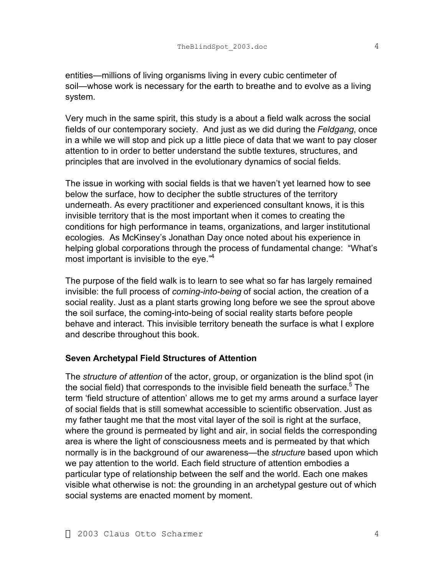entities—millions of living organisms living in every cubic centimeter of soil—whose work is necessary for the earth to breathe and to evolve as a living system.

Very much in the same spirit, this study is a about a field walk across the social fields of our contemporary society. And just as we did during the *Feldgang*, once in a while we will stop and pick up a little piece of data that we want to pay closer attention to in order to better understand the subtle textures, structures, and principles that are involved in the evolutionary dynamics of social fields.

The issue in working with social fields is that we haven't yet learned how to see below the surface, how to decipher the subtle structures of the territory underneath. As every practitioner and experienced consultant knows, it is this invisible territory that is the most important when it comes to creating the conditions for high performance in teams, organizations, and larger institutional ecologies. As McKinsey's Jonathan Day once noted about his experience in helping global corporations through the process of fundamental change: "What's most important is invisible to the eye.<sup>"4</sup>

The purpose of the field walk is to learn to see what so far has largely remained invisible: the full process of *coming-into-being* of social action, the creation of a social reality. Just as a plant starts growing long before we see the sprout above the soil surface, the coming-into-being of social reality starts before people behave and interact. This invisible territory beneath the surface is what I explore and describe throughout this book.

# **Seven Archetypal Field Structures of Attention**

The *structure of attention* of the actor, group, or organization is the blind spot (in the social field) that corresponds to the invisible field beneath the surface.<sup>5</sup> The term 'field structure of attention' allows me to get my arms around a surface layer of social fields that is still somewhat accessible to scientific observation. Just as my father taught me that the most vital layer of the soil is right at the surface, where the ground is permeated by light and air, in social fields the corresponding area is where the light of consciousness meets and is permeated by that which normally is in the background of our awareness—the *structure* based upon which we pay attention to the world. Each field structure of attention embodies a particular type of relationship between the self and the world. Each one makes visible what otherwise is not: the grounding in an archetypal gesture out of which social systems are enacted moment by moment.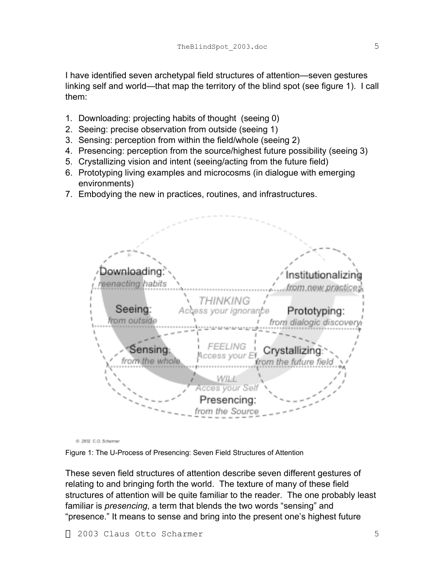I have identified seven archetypal field structures of attention—seven gestures linking self and world—that map the territory of the blind spot (see figure 1). I call them:

- 1. Downloading: projecting habits of thought (seeing 0)
- 2. Seeing: precise observation from outside (seeing 1)
- 3. Sensing: perception from within the field/whole (seeing 2)
- 4. Presencing: perception from the source/highest future possibility (seeing 3)
- 5. Crystallizing vision and intent (seeing/acting from the future field)
- 6. Prototyping living examples and microcosms (in dialogue with emerging environments)
- 7. Embodying the new in practices, routines, and infrastructures.



0 2002 0.0. Scheme

Figure 1: The U-Process of Presencing: Seven Field Structures of Attention

These seven field structures of attention describe seven different gestures of relating to and bringing forth the world. The texture of many of these field structures of attention will be quite familiar to the reader. The one probably least familiar is *presencing*, a term that blends the two words "sensing" and "presence." It means to sense and bring into the present one's highest future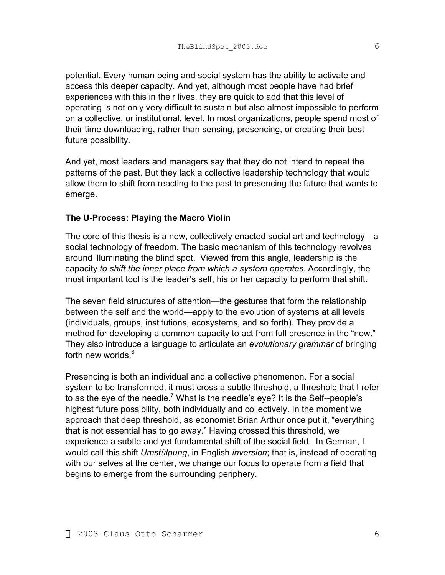potential. Every human being and social system has the ability to activate and access this deeper capacity. And yet, although most people have had brief experiences with this in their lives, they are quick to add that this level of operating is not only very difficult to sustain but also almost impossible to perform on a collective, or institutional, level. In most organizations, people spend most of their time downloading, rather than sensing, presencing, or creating their best future possibility.

And yet, most leaders and managers say that they do not intend to repeat the patterns of the past. But they lack a collective leadership technology that would allow them to shift from reacting to the past to presencing the future that wants to emerge.

# **The U-Process: Playing the Macro Violin**

The core of this thesis is a new, collectively enacted social art and technology—a social technology of freedom. The basic mechanism of this technology revolves around illuminating the blind spot. Viewed from this angle, leadership is the capacity *to shift the inner place from which a system operates*. Accordingly, the most important tool is the leader's self, his or her capacity to perform that shift.

The seven field structures of attention—the gestures that form the relationship between the self and the world—apply to the evolution of systems at all levels (individuals, groups, institutions, ecosystems, and so forth). They provide a method for developing a common capacity to act from full presence in the "now." They also introduce a language to articulate an *evolutionary grammar* of bringing forth new worlds.<sup>6</sup>

Presencing is both an individual and a collective phenomenon. For a social system to be transformed, it must cross a subtle threshold, a threshold that I refer to as the eye of the needle.<sup>7</sup> What is the needle's eye? It is the Self--people's highest future possibility, both individually and collectively. In the moment we approach that deep threshold, as economist Brian Arthur once put it, "everything that is not essential has to go away." Having crossed this threshold, we experience a subtle and yet fundamental shift of the social field. In German, I would call this shift *Umstülpung*, in English *inversion*; that is, instead of operating with our selves at the center, we change our focus to operate from a field that begins to emerge from the surrounding periphery.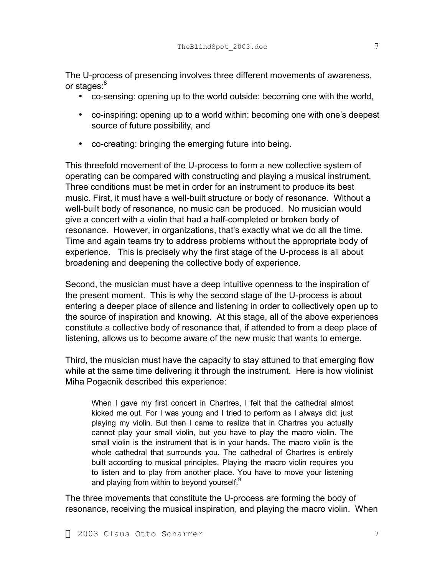The U-process of presencing involves three different movements of awareness, or stages:<sup>8</sup>

co-sensing: opening up to the world outside: becoming one with the world,

co-inspiring: opening up to a world within: becoming one with one's deepest source of future possibility*,* and

co-creating: bringing the emerging future into being.

This threefold movement of the U-process to form a new collective system of operating can be compared with constructing and playing a musical instrument. Three conditions must be met in order for an instrument to produce its best music. First, it must have a well-built structure or body of resonance. Without a well-built body of resonance, no music can be produced. No musician would give a concert with a violin that had a half-completed or broken body of resonance. However, in organizations, that's exactly what we do all the time. Time and again teams try to address problems without the appropriate body of experience. This is precisely why the first stage of the U-process is all about broadening and deepening the collective body of experience.

Second, the musician must have a deep intuitive openness to the inspiration of the present moment. This is why the second stage of the U-process is about entering a deeper place of silence and listening in order to collectively open up to the source of inspiration and knowing. At this stage, all of the above experiences constitute a collective body of resonance that, if attended to from a deep place of listening, allows us to become aware of the new music that wants to emerge.

Third, the musician must have the capacity to stay attuned to that emerging flow while at the same time delivering it through the instrument. Here is how violinist Miha Pogacnik described this experience:

When I gave my first concert in Chartres, I felt that the cathedral almost kicked me out. For I was young and I tried to perform as I always did: just playing my violin. But then I came to realize that in Chartres you actually cannot play your small violin, but you have to play the macro violin. The small violin is the instrument that is in your hands. The macro violin is the whole cathedral that surrounds you. The cathedral of Chartres is entirely built according to musical principles. Playing the macro violin requires you to listen and to play from another place. You have to move your listening and playing from within to beyond yourself.<sup>9</sup>

The three movements that constitute the U-process are forming the body of resonance, receiving the musical inspiration, and playing the macro violin. When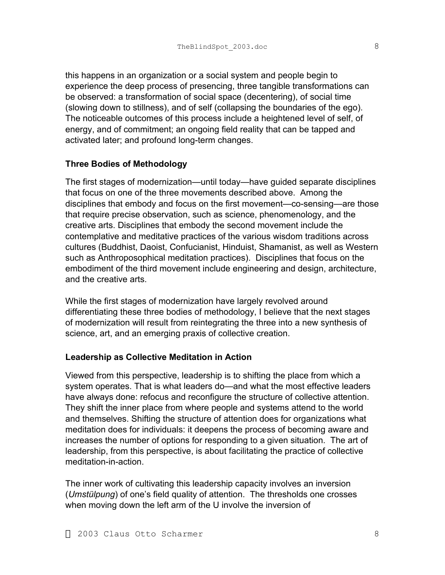this happens in an organization or a social system and people begin to experience the deep process of presencing, three tangible transformations can be observed: a transformation of social space (decentering), of social time (slowing down to stillness), and of self (collapsing the boundaries of the ego). The noticeable outcomes of this process include a heightened level of self, of energy, and of commitment; an ongoing field reality that can be tapped and activated later; and profound long-term changes.

### **Three Bodies of Methodology**

The first stages of modernization—until today—have guided separate disciplines that focus on one of the three movements described above. Among the disciplines that embody and focus on the first movement—co-sensing—are those that require precise observation, such as science, phenomenology, and the creative arts. Disciplines that embody the second movement include the contemplative and meditative practices of the various wisdom traditions across cultures (Buddhist, Daoist, Confucianist, Hinduist, Shamanist, as well as Western such as Anthroposophical meditation practices). Disciplines that focus on the embodiment of the third movement include engineering and design, architecture, and the creative arts.

While the first stages of modernization have largely revolved around differentiating these three bodies of methodology, I believe that the next stages of modernization will result from reintegrating the three into a new synthesis of science, art, and an emerging praxis of collective creation.

#### **Leadership as Collective Meditation in Action**

Viewed from this perspective, leadership is to shifting the place from which a system operates. That is what leaders do—and what the most effective leaders have always done: refocus and reconfigure the structure of collective attention. They shift the inner place from where people and systems attend to the world and themselves. Shifting the structure of attention does for organizations what meditation does for individuals: it deepens the process of becoming aware and increases the number of options for responding to a given situation. The art of leadership, from this perspective, is about facilitating the practice of collective meditation-in-action.

The inner work of cultivating this leadership capacity involves an inversion (*Umstülpung*) of one's field quality of attention. The thresholds one crosses when moving down the left arm of the U involve the inversion of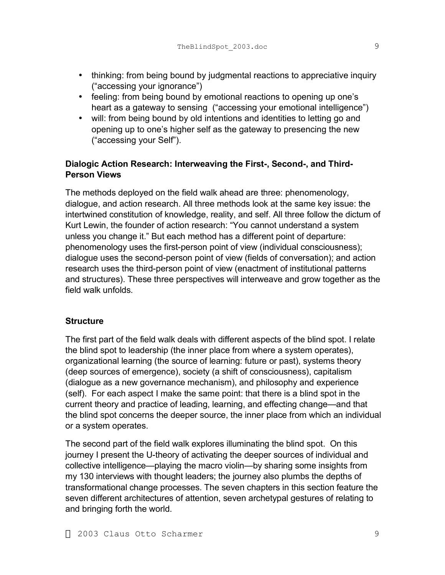thinking: from being bound by judgmental reactions to appreciative inquiry ("accessing your ignorance")

feeling: from being bound by emotional reactions to opening up one's heart as a gateway to sensing ("accessing your emotional intelligence") will: from being bound by old intentions and identities to letting go and opening up to one's higher self as the gateway to presencing the new ("accessing your Self").

# **Dialogic Action Research: Interweaving the First-, Second-, and Third-Person Views**

The methods deployed on the field walk ahead are three: phenomenology, dialogue, and action research. All three methods look at the same key issue: the intertwined constitution of knowledge, reality, and self. All three follow the dictum of Kurt Lewin, the founder of action research: "You cannot understand a system unless you change it." But each method has a different point of departure: phenomenology uses the first-person point of view (individual consciousness); dialogue uses the second-person point of view (fields of conversation); and action research uses the third-person point of view (enactment of institutional patterns and structures). These three perspectives will interweave and grow together as the field walk unfolds.

# **Structure**

The first part of the field walk deals with different aspects of the blind spot. I relate the blind spot to leadership (the inner place from where a system operates), organizational learning (the source of learning: future or past), systems theory (deep sources of emergence), society (a shift of consciousness), capitalism (dialogue as a new governance mechanism), and philosophy and experience (self). For each aspect I make the same point: that there is a blind spot in the current theory and practice of leading, learning, and effecting change—and that the blind spot concerns the deeper source, the inner place from which an individual or a system operates.

The second part of the field walk explores illuminating the blind spot. On this journey I present the U-theory of activating the deeper sources of individual and collective intelligence—playing the macro violin—by sharing some insights from my 130 interviews with thought leaders; the journey also plumbs the depths of transformational change processes. The seven chapters in this section feature the seven different architectures of attention, seven archetypal gestures of relating to and bringing forth the world.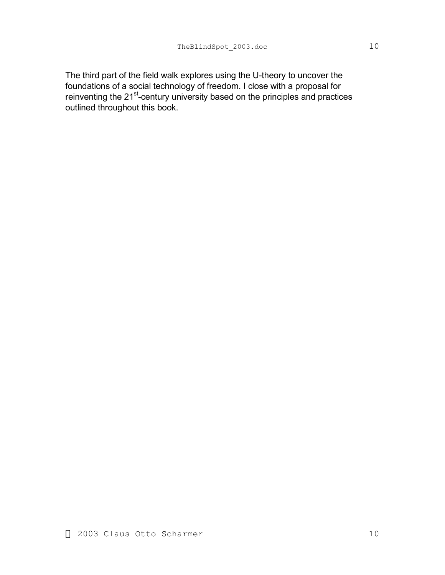The third part of the field walk explores using the U-theory to uncover the foundations of a social technology of freedom. I close with a proposal for reinventing the 21<sup>st</sup>-century university based on the principles and practices outlined throughout this book.